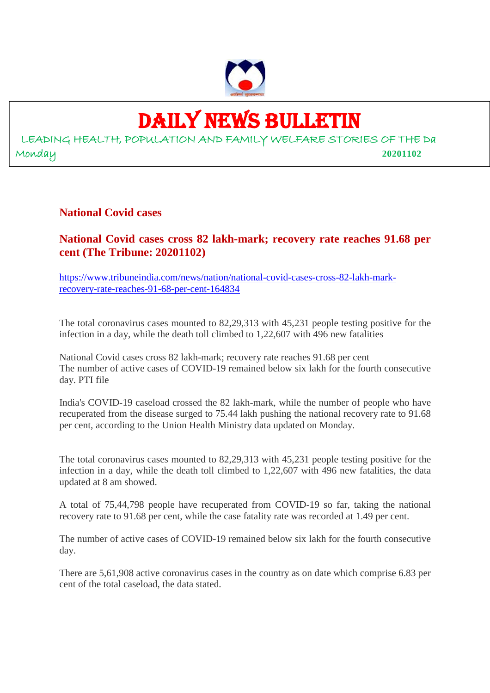

## DAILY NEWS BULLETIN

LEADING HEALTH, POPULATION AND FAMILY WELFARE STORIES OF THE Da Monday **20201102**

#### **National Covid cases**

#### **National Covid cases cross 82 lakh-mark; recovery rate reaches 91.68 per cent (The Tribune: 20201102)**

https://www.tribuneindia.com/news/nation/national-covid-cases-cross-82-lakh-markrecovery-rate-reaches-91-68-per-cent-164834

The total coronavirus cases mounted to 82,29,313 with 45,231 people testing positive for the infection in a day, while the death toll climbed to 1,22,607 with 496 new fatalities

National Covid cases cross 82 lakh-mark; recovery rate reaches 91.68 per cent The number of active cases of COVID-19 remained below six lakh for the fourth consecutive day. PTI file

India's COVID-19 caseload crossed the 82 lakh-mark, while the number of people who have recuperated from the disease surged to 75.44 lakh pushing the national recovery rate to 91.68 per cent, according to the Union Health Ministry data updated on Monday.

The total coronavirus cases mounted to 82,29,313 with 45,231 people testing positive for the infection in a day, while the death toll climbed to 1,22,607 with 496 new fatalities, the data updated at 8 am showed.

A total of 75,44,798 people have recuperated from COVID-19 so far, taking the national recovery rate to 91.68 per cent, while the case fatality rate was recorded at 1.49 per cent.

The number of active cases of COVID-19 remained below six lakh for the fourth consecutive day.

There are 5,61,908 active coronavirus cases in the country as on date which comprise 6.83 per cent of the total caseload, the data stated.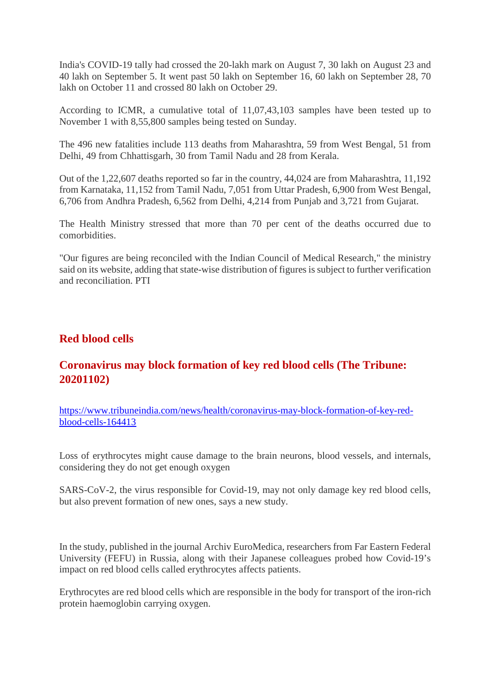India's COVID-19 tally had crossed the 20-lakh mark on August 7, 30 lakh on August 23 and 40 lakh on September 5. It went past 50 lakh on September 16, 60 lakh on September 28, 70 lakh on October 11 and crossed 80 lakh on October 29.

According to ICMR, a cumulative total of 11,07,43,103 samples have been tested up to November 1 with 8,55,800 samples being tested on Sunday.

The 496 new fatalities include 113 deaths from Maharashtra, 59 from West Bengal, 51 from Delhi, 49 from Chhattisgarh, 30 from Tamil Nadu and 28 from Kerala.

Out of the 1,22,607 deaths reported so far in the country, 44,024 are from Maharashtra, 11,192 from Karnataka, 11,152 from Tamil Nadu, 7,051 from Uttar Pradesh, 6,900 from West Bengal, 6,706 from Andhra Pradesh, 6,562 from Delhi, 4,214 from Punjab and 3,721 from Gujarat.

The Health Ministry stressed that more than 70 per cent of the deaths occurred due to comorbidities.

"Our figures are being reconciled with the Indian Council of Medical Research," the ministry said on its website, adding that state-wise distribution of figures is subject to further verification and reconciliation. PTI

#### **Red blood cells**

#### **Coronavirus may block formation of key red blood cells (The Tribune: 20201102)**

https://www.tribuneindia.com/news/health/coronavirus-may-block-formation-of-key-redblood-cells-164413

Loss of erythrocytes might cause damage to the brain neurons, blood vessels, and internals, considering they do not get enough oxygen

SARS-CoV-2, the virus responsible for Covid-19, may not only damage key red blood cells, but also prevent formation of new ones, says a new study.

In the study, published in the journal Archiv EuroMedica, researchers from Far Eastern Federal University (FEFU) in Russia, along with their Japanese colleagues probed how Covid-19's impact on red blood cells called erythrocytes affects patients.

Erythrocytes are red blood cells which are responsible in the body for transport of the iron-rich protein haemoglobin carrying oxygen.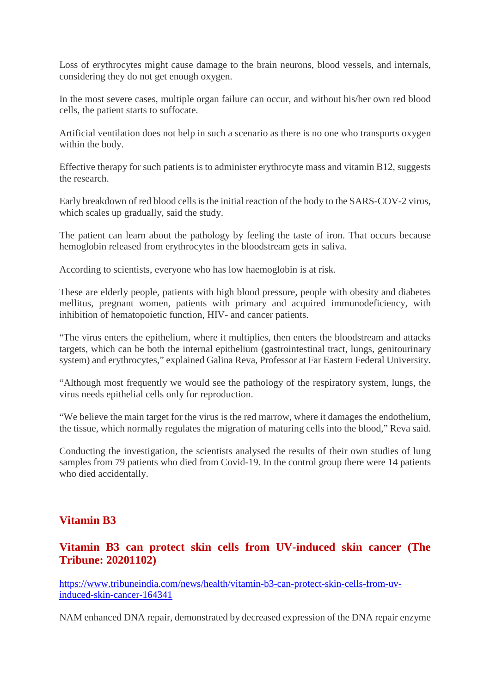Loss of erythrocytes might cause damage to the brain neurons, blood vessels, and internals, considering they do not get enough oxygen.

In the most severe cases, multiple organ failure can occur, and without his/her own red blood cells, the patient starts to suffocate.

Artificial ventilation does not help in such a scenario as there is no one who transports oxygen within the body.

Effective therapy for such patients is to administer erythrocyte mass and vitamin B12, suggests the research.

Early breakdown of red blood cells is the initial reaction of the body to the SARS-COV-2 virus, which scales up gradually, said the study.

The patient can learn about the pathology by feeling the taste of iron. That occurs because hemoglobin released from erythrocytes in the bloodstream gets in saliva.

According to scientists, everyone who has low haemoglobin is at risk.

These are elderly people, patients with high blood pressure, people with obesity and diabetes mellitus, pregnant women, patients with primary and acquired immunodeficiency, with inhibition of hematopoietic function, HIV- and cancer patients.

"The virus enters the epithelium, where it multiplies, then enters the bloodstream and attacks targets, which can be both the internal epithelium (gastrointestinal tract, lungs, genitourinary system) and erythrocytes," explained Galina Reva, Professor at Far Eastern Federal University.

"Although most frequently we would see the pathology of the respiratory system, lungs, the virus needs epithelial cells only for reproduction.

"We believe the main target for the virus is the red marrow, where it damages the endothelium, the tissue, which normally regulates the migration of maturing cells into the blood," Reva said.

Conducting the investigation, the scientists analysed the results of their own studies of lung samples from 79 patients who died from Covid-19. In the control group there were 14 patients who died accidentally.

#### **Vitamin B3**

#### **Vitamin B3 can protect skin cells from UV-induced skin cancer (The Tribune: 20201102)**

https://www.tribuneindia.com/news/health/vitamin-b3-can-protect-skin-cells-from-uvinduced-skin-cancer-164341

NAM enhanced DNA repair, demonstrated by decreased expression of the DNA repair enzyme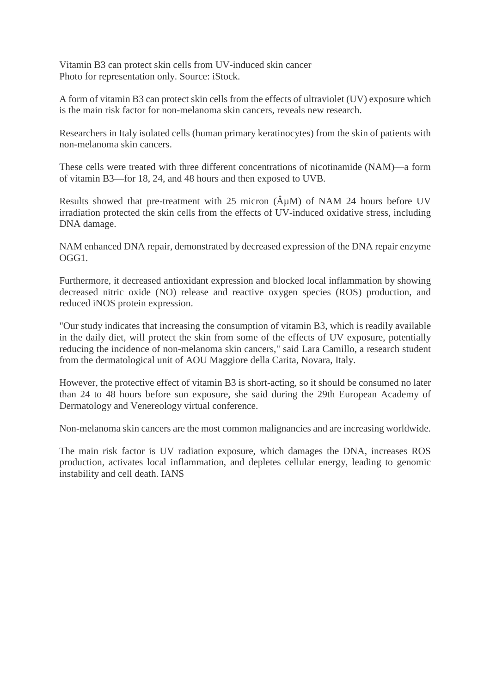Vitamin B3 can protect skin cells from UV-induced skin cancer Photo for representation only. Source: iStock.

A form of vitamin B3 can protect skin cells from the effects of ultraviolet (UV) exposure which is the main risk factor for non-melanoma skin cancers, reveals new research.

Researchers in Italy isolated cells (human primary keratinocytes) from the skin of patients with non-melanoma skin cancers.

These cells were treated with three different concentrations of nicotinamide (NAM)—a form of vitamin B3—for 18, 24, and 48 hours and then exposed to UVB.

Results showed that pre-treatment with 25 micron  $(\hat{A}\mu M)$  of NAM 24 hours before UV irradiation protected the skin cells from the effects of UV-induced oxidative stress, including DNA damage.

NAM enhanced DNA repair, demonstrated by decreased expression of the DNA repair enzyme OGG1.

Furthermore, it decreased antioxidant expression and blocked local inflammation by showing decreased nitric oxide (NO) release and reactive oxygen species (ROS) production, and reduced iNOS protein expression.

"Our study indicates that increasing the consumption of vitamin B3, which is readily available in the daily diet, will protect the skin from some of the effects of UV exposure, potentially reducing the incidence of non-melanoma skin cancers," said Lara Camillo, a research student from the dermatological unit of AOU Maggiore della Carita, Novara, Italy.

However, the protective effect of vitamin B3 is short-acting, so it should be consumed no later than 24 to 48 hours before sun exposure, she said during the 29th European Academy of Dermatology and Venereology virtual conference.

Non-melanoma skin cancers are the most common malignancies and are increasing worldwide.

The main risk factor is UV radiation exposure, which damages the DNA, increases ROS production, activates local inflammation, and depletes cellular energy, leading to genomic instability and cell death. IANS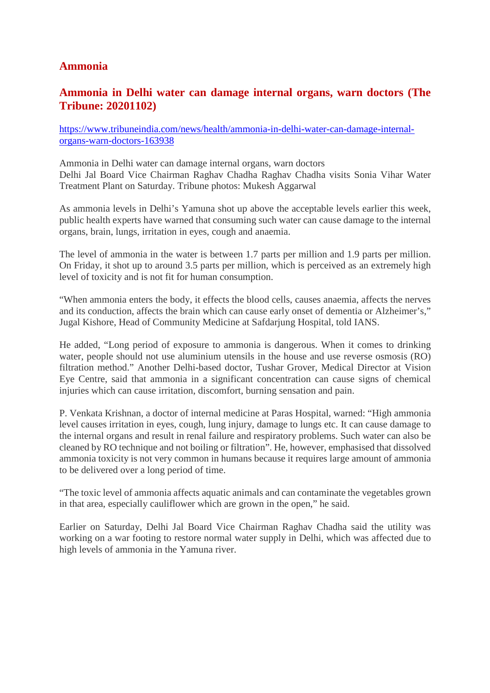#### **Ammonia**

#### **Ammonia in Delhi water can damage internal organs, warn doctors (The Tribune: 20201102)**

https://www.tribuneindia.com/news/health/ammonia-in-delhi-water-can-damage-internalorgans-warn-doctors-163938

Ammonia in Delhi water can damage internal organs, warn doctors Delhi Jal Board Vice Chairman Raghav Chadha Raghav Chadha visits Sonia Vihar Water Treatment Plant on Saturday. Tribune photos: Mukesh Aggarwal

As ammonia levels in Delhi's Yamuna shot up above the acceptable levels earlier this week, public health experts have warned that consuming such water can cause damage to the internal organs, brain, lungs, irritation in eyes, cough and anaemia.

The level of ammonia in the water is between 1.7 parts per million and 1.9 parts per million. On Friday, it shot up to around 3.5 parts per million, which is perceived as an extremely high level of toxicity and is not fit for human consumption.

"When ammonia enters the body, it effects the blood cells, causes anaemia, affects the nerves and its conduction, affects the brain which can cause early onset of dementia or Alzheimer's," Jugal Kishore, Head of Community Medicine at Safdarjung Hospital, told IANS.

He added, "Long period of exposure to ammonia is dangerous. When it comes to drinking water, people should not use aluminium utensils in the house and use reverse osmosis (RO) filtration method." Another Delhi-based doctor, Tushar Grover, Medical Director at Vision Eye Centre, said that ammonia in a significant concentration can cause signs of chemical injuries which can cause irritation, discomfort, burning sensation and pain.

P. Venkata Krishnan, a doctor of internal medicine at Paras Hospital, warned: "High ammonia level causes irritation in eyes, cough, lung injury, damage to lungs etc. It can cause damage to the internal organs and result in renal failure and respiratory problems. Such water can also be cleaned by RO technique and not boiling or filtration". He, however, emphasised that dissolved ammonia toxicity is not very common in humans because it requires large amount of ammonia to be delivered over a long period of time.

"The toxic level of ammonia affects aquatic animals and can contaminate the vegetables grown in that area, especially cauliflower which are grown in the open," he said.

Earlier on Saturday, Delhi Jal Board Vice Chairman Raghav Chadha said the utility was working on a war footing to restore normal water supply in Delhi, which was affected due to high levels of ammonia in the Yamuna river.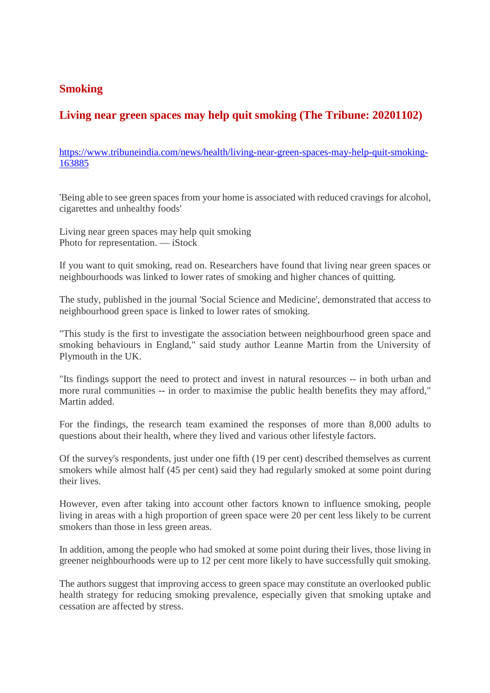#### **Smoking**

### **Living near green spaces may help quit smoking (The Tribune: 20201102)**

https://www.tribuneindia.com/news/health/living-near-green-spaces-may-help-quit-smoking-163885

'Being able to see green spaces from your home is associated with reduced cravings for alcohol, cigarettes and unhealthy foods'

Living near green spaces may help quit smoking Photo for representation. — iStock

If you want to quit smoking, read on. Researchers have found that living near green spaces or neighbourhoods was linked to lower rates of smoking and higher chances of quitting.

The study, published in the journal 'Social Science and Medicine', demonstrated that access to neighbourhood green space is linked to lower rates of smoking.

"This study is the first to investigate the association between neighbourhood green space and smoking behaviours in England," said study author Leanne Martin from the University of Plymouth in the UK.

"Its findings support the need to protect and invest in natural resources -- in both urban and more rural communities -- in order to maximise the public health benefits they may afford," Martin added.

For the findings, the research team examined the responses of more than 8,000 adults to questions about their health, where they lived and various other lifestyle factors.

Of the survey's respondents, just under one fifth (19 per cent) described themselves as current smokers while almost half (45 per cent) said they had regularly smoked at some point during their lives.

However, even after taking into account other factors known to influence smoking, people living in areas with a high proportion of green space were 20 per cent less likely to be current smokers than those in less green areas.

In addition, among the people who had smoked at some point during their lives, those living in greener neighbourhoods were up to 12 per cent more likely to have successfully quit smoking.

The authors suggest that improving access to green space may constitute an overlooked public health strategy for reducing smoking prevalence, especially given that smoking uptake and cessation are affected by stress.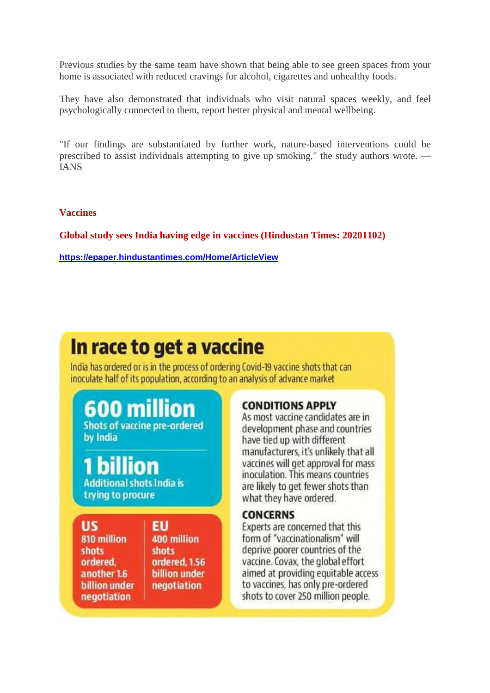Previous studies by the same team have shown that being able to see green spaces from your home is associated with reduced cravings for alcohol, cigarettes and unhealthy foods.

They have also demonstrated that individuals who visit natural spaces weekly, and feel psychologically connected to them, report better physical and mental wellbeing.

"If our findings are substantiated by further work, nature-based interventions could be prescribed to assist individuals attempting to give up smoking," the study authors wrote. — IANS

**Vaccines**

**Global study sees India having edge in vaccines (Hindustan Times: 20201102)**

**https://epaper.hindustantimes.com/Home/ArticleView**

## In race to get a vaccine

India has ordered or is in the process of ordering Covid-19 vaccine shots that can inoculate half of its population, according to an analysis of advance market

600 million **Shots of vaccine pre-ordered** by India

**Additional shots India is** trying to procure

US 810 million **shots** ordered. another 1.6 **billion under** negotiation

EU 400 million **shots** ordered, 1.56 **billion** under negotiation

#### **CONDITIONS APPLY**

As most vaccine candidates are in development phase and countries have tied up with different manufacturers, it's unlikely that all vaccines will get approval for mass inoculation. This means countries are likely to get fewer shots than what they have ordered.

#### **CONCERNS**

Experts are concerned that this form of "vaccinationalism" will deprive poorer countries of the vaccine. Covax, the global effort aimed at providing equitable access to vaccines, has only pre-ordered shots to cover 250 million people.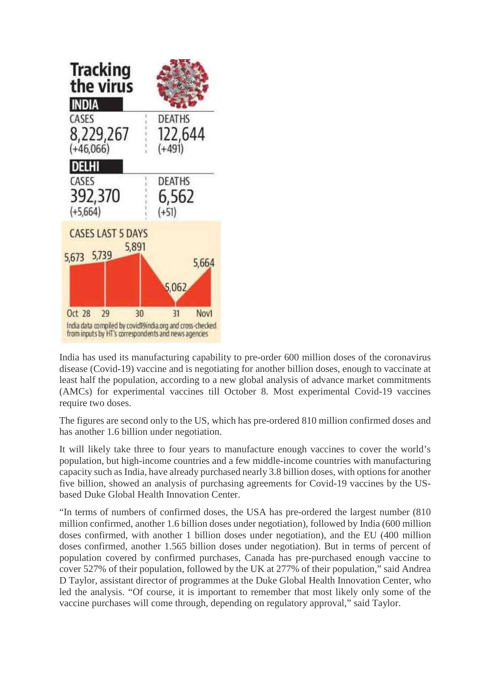

India has used its manufacturing capability to pre-order 600 million doses of the coronavirus disease (Covid-19) vaccine and is negotiating for another billion doses, enough to vaccinate at least half the population, according to a new global analysis of advance market commitments (AMCs) for experimental vaccines till October 8. Most experimental Covid-19 vaccines require two doses.

The figures are second only to the US, which has pre-ordered 810 million confirmed doses and has another 1.6 billion under negotiation.

It will likely take three to four years to manufacture enough vaccines to cover the world's population, but high-income countries and a few middle-income countries with manufacturing capacity such as India, have already purchased nearly 3.8 billion doses, with options for another five billion, showed an analysis of purchasing agreements for Covid-19 vaccines by the USbased Duke Global Health Innovation Center.

"In terms of numbers of confirmed doses, the USA has pre-ordered the largest number (810 million confirmed, another 1.6 billion doses under negotiation), followed by India (600 million doses confirmed, with another 1 billion doses under negotiation), and the EU (400 million doses confirmed, another 1.565 billion doses under negotiation). But in terms of percent of population covered by confirmed purchases, Canada has pre-purchased enough vaccine to cover 527% of their population, followed by the UK at 277% of their population," said Andrea D Taylor, assistant director of programmes at the Duke Global Health Innovation Center, who led the analysis. "Of course, it is important to remember that most likely only some of the vaccine purchases will come through, depending on regulatory approval," said Taylor.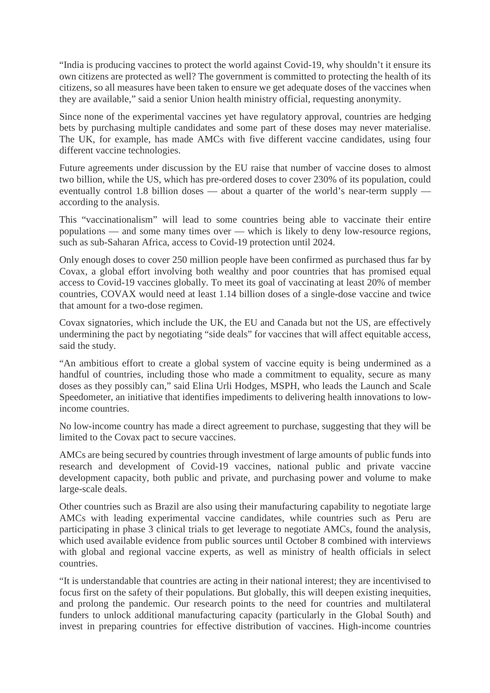"India is producing vaccines to protect the world against Covid-19, why shouldn't it ensure its own citizens are protected as well? The government is committed to protecting the health of its citizens, so all measures have been taken to ensure we get adequate doses of the vaccines when they are available," said a senior Union health ministry official, requesting anonymity.

Since none of the experimental vaccines yet have regulatory approval, countries are hedging bets by purchasing multiple candidates and some part of these doses may never materialise. The UK, for example, has made AMCs with five different vaccine candidates, using four different vaccine technologies.

Future agreements under discussion by the EU raise that number of vaccine doses to almost two billion, while the US, which has pre-ordered doses to cover 230% of its population, could eventually control 1.8 billion doses — about a quarter of the world's near-term supply according to the analysis.

This "vaccinationalism" will lead to some countries being able to vaccinate their entire populations — and some many times over — which is likely to deny low-resource regions, such as sub-Saharan Africa, access to Covid-19 protection until 2024.

Only enough doses to cover 250 million people have been confirmed as purchased thus far by Covax, a global effort involving both wealthy and poor countries that has promised equal access to Covid-19 vaccines globally. To meet its goal of vaccinating at least 20% of member countries, COVAX would need at least 1.14 billion doses of a single-dose vaccine and twice that amount for a two-dose regimen.

Covax signatories, which include the UK, the EU and Canada but not the US, are effectively undermining the pact by negotiating "side deals" for vaccines that will affect equitable access, said the study.

"An ambitious effort to create a global system of vaccine equity is being undermined as a handful of countries, including those who made a commitment to equality, secure as many doses as they possibly can," said Elina Urli Hodges, MSPH, who leads the Launch and Scale Speedometer, an initiative that identifies impediments to delivering health innovations to lowincome countries.

No low-income country has made a direct agreement to purchase, suggesting that they will be limited to the Covax pact to secure vaccines.

AMCs are being secured by countries through investment of large amounts of public funds into research and development of Covid-19 vaccines, national public and private vaccine development capacity, both public and private, and purchasing power and volume to make large-scale deals.

Other countries such as Brazil are also using their manufacturing capability to negotiate large AMCs with leading experimental vaccine candidates, while countries such as Peru are participating in phase 3 clinical trials to get leverage to negotiate AMCs, found the analysis, which used available evidence from public sources until October 8 combined with interviews with global and regional vaccine experts, as well as ministry of health officials in select countries.

"It is understandable that countries are acting in their national interest; they are incentivised to focus first on the safety of their populations. But globally, this will deepen existing inequities, and prolong the pandemic. Our research points to the need for countries and multilateral funders to unlock additional manufacturing capacity (particularly in the Global South) and invest in preparing countries for effective distribution of vaccines. High-income countries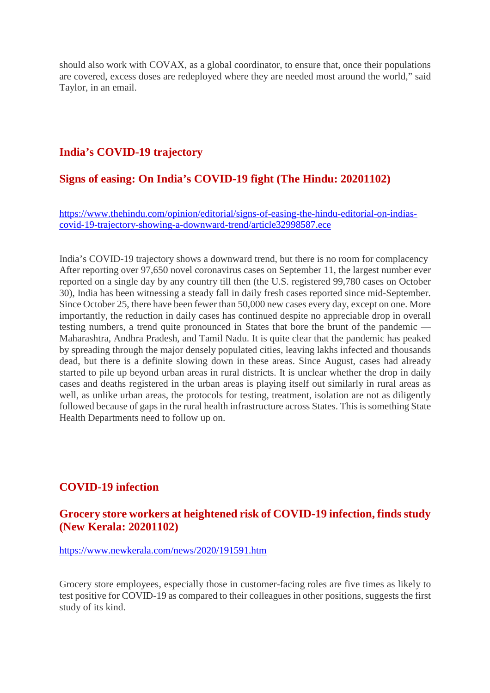should also work with COVAX, as a global coordinator, to ensure that, once their populations are covered, excess doses are redeployed where they are needed most around the world," said Taylor, in an email.

#### **India's COVID-19 trajectory**

#### **Signs of easing: On India's COVID-19 fight (The Hindu: 20201102)**

https://www.thehindu.com/opinion/editorial/signs-of-easing-the-hindu-editorial-on-indiascovid-19-trajectory-showing-a-downward-trend/article32998587.ece

India's COVID-19 trajectory shows a downward trend, but there is no room for complacency After reporting over 97,650 novel coronavirus cases on September 11, the largest number ever reported on a single day by any country till then (the U.S. registered 99,780 cases on October 30), India has been witnessing a steady fall in daily fresh cases reported since mid-September. Since October 25, there have been fewer than 50,000 new cases every day, except on one. More importantly, the reduction in daily cases has continued despite no appreciable drop in overall testing numbers, a trend quite pronounced in States that bore the brunt of the pandemic — Maharashtra, Andhra Pradesh, and Tamil Nadu. It is quite clear that the pandemic has peaked by spreading through the major densely populated cities, leaving lakhs infected and thousands dead, but there is a definite slowing down in these areas. Since August, cases had already started to pile up beyond urban areas in rural districts. It is unclear whether the drop in daily cases and deaths registered in the urban areas is playing itself out similarly in rural areas as well, as unlike urban areas, the protocols for testing, treatment, isolation are not as diligently followed because of gaps in the rural health infrastructure across States. This is something State Health Departments need to follow up on.

#### **COVID-19 infection**

#### **Grocery store workers at heightened risk of COVID-19 infection, finds study (New Kerala: 20201102)**

https://www.newkerala.com/news/2020/191591.htm

Grocery store employees, especially those in customer-facing roles are five times as likely to test positive for COVID-19 as compared to their colleagues in other positions, suggests the first study of its kind.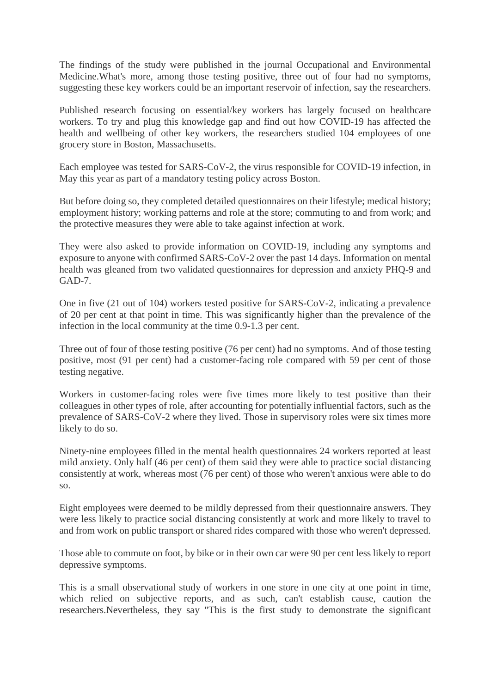The findings of the study were published in the journal Occupational and Environmental Medicine.What's more, among those testing positive, three out of four had no symptoms, suggesting these key workers could be an important reservoir of infection, say the researchers.

Published research focusing on essential/key workers has largely focused on healthcare workers. To try and plug this knowledge gap and find out how COVID-19 has affected the health and wellbeing of other key workers, the researchers studied 104 employees of one grocery store in Boston, Massachusetts.

Each employee was tested for SARS-CoV-2, the virus responsible for COVID-19 infection, in May this year as part of a mandatory testing policy across Boston.

But before doing so, they completed detailed questionnaires on their lifestyle; medical history; employment history; working patterns and role at the store; commuting to and from work; and the protective measures they were able to take against infection at work.

They were also asked to provide information on COVID-19, including any symptoms and exposure to anyone with confirmed SARS-CoV-2 over the past 14 days. Information on mental health was gleaned from two validated questionnaires for depression and anxiety PHQ-9 and GAD-7.

One in five (21 out of 104) workers tested positive for SARS-CoV-2, indicating a prevalence of 20 per cent at that point in time. This was significantly higher than the prevalence of the infection in the local community at the time 0.9-1.3 per cent.

Three out of four of those testing positive (76 per cent) had no symptoms. And of those testing positive, most (91 per cent) had a customer-facing role compared with 59 per cent of those testing negative.

Workers in customer-facing roles were five times more likely to test positive than their colleagues in other types of role, after accounting for potentially influential factors, such as the prevalence of SARS-CoV-2 where they lived. Those in supervisory roles were six times more likely to do so.

Ninety-nine employees filled in the mental health questionnaires 24 workers reported at least mild anxiety. Only half (46 per cent) of them said they were able to practice social distancing consistently at work, whereas most (76 per cent) of those who weren't anxious were able to do so.

Eight employees were deemed to be mildly depressed from their questionnaire answers. They were less likely to practice social distancing consistently at work and more likely to travel to and from work on public transport or shared rides compared with those who weren't depressed.

Those able to commute on foot, by bike or in their own car were 90 per cent less likely to report depressive symptoms.

This is a small observational study of workers in one store in one city at one point in time, which relied on subjective reports, and as such, can't establish cause, caution the researchers.Nevertheless, they say "This is the first study to demonstrate the significant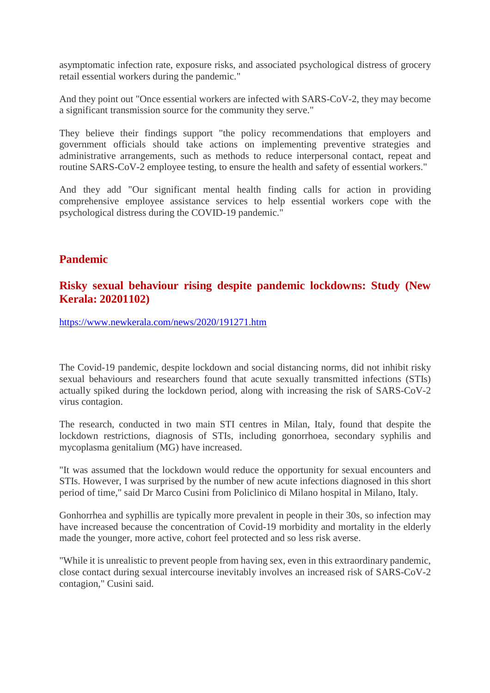asymptomatic infection rate, exposure risks, and associated psychological distress of grocery retail essential workers during the pandemic."

And they point out "Once essential workers are infected with SARS-CoV-2, they may become a significant transmission source for the community they serve."

They believe their findings support "the policy recommendations that employers and government officials should take actions on implementing preventive strategies and administrative arrangements, such as methods to reduce interpersonal contact, repeat and routine SARS-CoV-2 employee testing, to ensure the health and safety of essential workers."

And they add "Our significant mental health finding calls for action in providing comprehensive employee assistance services to help essential workers cope with the psychological distress during the COVID-19 pandemic."

#### **Pandemic**

#### **Risky sexual behaviour rising despite pandemic lockdowns: Study (New Kerala: 20201102)**

https://www.newkerala.com/news/2020/191271.htm

The Covid-19 pandemic, despite lockdown and social distancing norms, did not inhibit risky sexual behaviours and researchers found that acute sexually transmitted infections (STIs) actually spiked during the lockdown period, along with increasing the risk of SARS-CoV-2 virus contagion.

The research, conducted in two main STI centres in Milan, Italy, found that despite the lockdown restrictions, diagnosis of STIs, including gonorrhoea, secondary syphilis and mycoplasma genitalium (MG) have increased.

"It was assumed that the lockdown would reduce the opportunity for sexual encounters and STIs. However, I was surprised by the number of new acute infections diagnosed in this short period of time," said Dr Marco Cusini from Policlinico di Milano hospital in Milano, Italy.

Gonhorrhea and syphillis are typically more prevalent in people in their 30s, so infection may have increased because the concentration of Covid-19 morbidity and mortality in the elderly made the younger, more active, cohort feel protected and so less risk averse.

"While it is unrealistic to prevent people from having sex, even in this extraordinary pandemic, close contact during sexual intercourse inevitably involves an increased risk of SARS-CoV-2 contagion," Cusini said.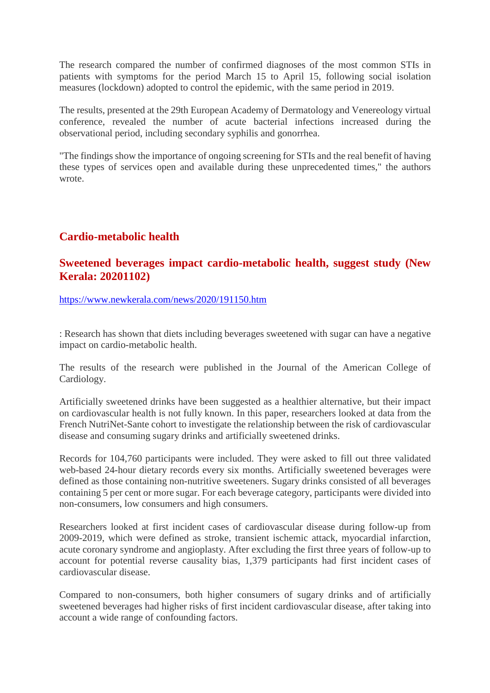The research compared the number of confirmed diagnoses of the most common STIs in patients with symptoms for the period March 15 to April 15, following social isolation measures (lockdown) adopted to control the epidemic, with the same period in 2019.

The results, presented at the 29th European Academy of Dermatology and Venereology virtual conference, revealed the number of acute bacterial infections increased during the observational period, including secondary syphilis and gonorrhea.

"The findings show the importance of ongoing screening for STIs and the real benefit of having these types of services open and available during these unprecedented times," the authors wrote.

#### **Cardio-metabolic health**

#### **Sweetened beverages impact cardio-metabolic health, suggest study (New Kerala: 20201102)**

https://www.newkerala.com/news/2020/191150.htm

: Research has shown that diets including beverages sweetened with sugar can have a negative impact on cardio-metabolic health.

The results of the research were published in the Journal of the American College of Cardiology.

Artificially sweetened drinks have been suggested as a healthier alternative, but their impact on cardiovascular health is not fully known. In this paper, researchers looked at data from the French NutriNet-Sante cohort to investigate the relationship between the risk of cardiovascular disease and consuming sugary drinks and artificially sweetened drinks.

Records for 104,760 participants were included. They were asked to fill out three validated web-based 24-hour dietary records every six months. Artificially sweetened beverages were defined as those containing non-nutritive sweeteners. Sugary drinks consisted of all beverages containing 5 per cent or more sugar. For each beverage category, participants were divided into non-consumers, low consumers and high consumers.

Researchers looked at first incident cases of cardiovascular disease during follow-up from 2009-2019, which were defined as stroke, transient ischemic attack, myocardial infarction, acute coronary syndrome and angioplasty. After excluding the first three years of follow-up to account for potential reverse causality bias, 1,379 participants had first incident cases of cardiovascular disease.

Compared to non-consumers, both higher consumers of sugary drinks and of artificially sweetened beverages had higher risks of first incident cardiovascular disease, after taking into account a wide range of confounding factors.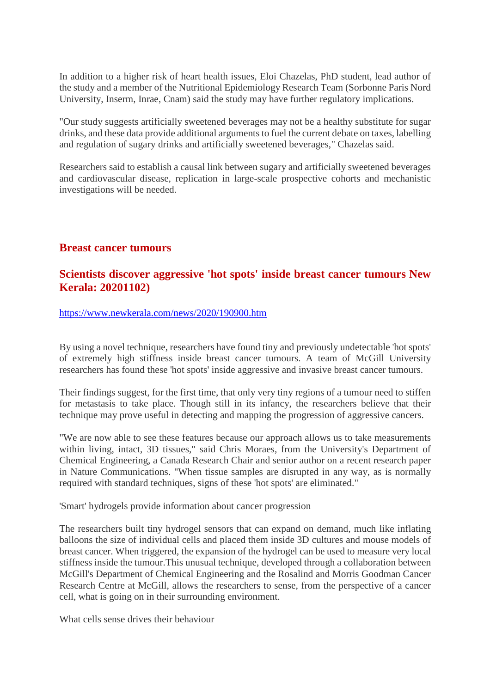In addition to a higher risk of heart health issues, Eloi Chazelas, PhD student, lead author of the study and a member of the Nutritional Epidemiology Research Team (Sorbonne Paris Nord University, Inserm, Inrae, Cnam) said the study may have further regulatory implications.

"Our study suggests artificially sweetened beverages may not be a healthy substitute for sugar drinks, and these data provide additional arguments to fuel the current debate on taxes, labelling and regulation of sugary drinks and artificially sweetened beverages," Chazelas said.

Researchers said to establish a causal link between sugary and artificially sweetened beverages and cardiovascular disease, replication in large-scale prospective cohorts and mechanistic investigations will be needed.

#### **Breast cancer tumours**

#### **Scientists discover aggressive 'hot spots' inside breast cancer tumours New Kerala: 20201102)**

#### https://www.newkerala.com/news/2020/190900.htm

By using a novel technique, researchers have found tiny and previously undetectable 'hot spots' of extremely high stiffness inside breast cancer tumours. A team of McGill University researchers has found these 'hot spots' inside aggressive and invasive breast cancer tumours.

Their findings suggest, for the first time, that only very tiny regions of a tumour need to stiffen for metastasis to take place. Though still in its infancy, the researchers believe that their technique may prove useful in detecting and mapping the progression of aggressive cancers.

"We are now able to see these features because our approach allows us to take measurements within living, intact, 3D tissues," said Chris Moraes, from the University's Department of Chemical Engineering, a Canada Research Chair and senior author on a recent research paper in Nature Communications. "When tissue samples are disrupted in any way, as is normally required with standard techniques, signs of these 'hot spots' are eliminated."

'Smart' hydrogels provide information about cancer progression

The researchers built tiny hydrogel sensors that can expand on demand, much like inflating balloons the size of individual cells and placed them inside 3D cultures and mouse models of breast cancer. When triggered, the expansion of the hydrogel can be used to measure very local stiffness inside the tumour.This unusual technique, developed through a collaboration between McGill's Department of Chemical Engineering and the Rosalind and Morris Goodman Cancer Research Centre at McGill, allows the researchers to sense, from the perspective of a cancer cell, what is going on in their surrounding environment.

What cells sense drives their behaviour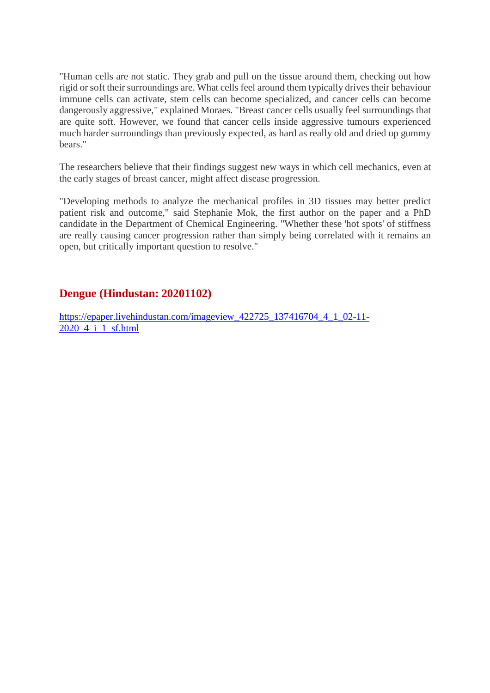"Human cells are not static. They grab and pull on the tissue around them, checking out how rigid or soft their surroundings are. What cells feel around them typically drives their behaviour immune cells can activate, stem cells can become specialized, and cancer cells can become dangerously aggressive," explained Moraes. "Breast cancer cells usually feel surroundings that are quite soft. However, we found that cancer cells inside aggressive tumours experienced much harder surroundings than previously expected, as hard as really old and dried up gummy bears."

The researchers believe that their findings suggest new ways in which cell mechanics, even at the early stages of breast cancer, might affect disease progression.

"Developing methods to analyze the mechanical profiles in 3D tissues may better predict patient risk and outcome," said Stephanie Mok, the first author on the paper and a PhD candidate in the Department of Chemical Engineering. "Whether these 'hot spots' of stiffness are really causing cancer progression rather than simply being correlated with it remains an open, but critically important question to resolve."

#### **Dengue (Hindustan: 20201102)**

https://epaper.livehindustan.com/imageview\_422725\_137416704\_4\_1\_02-11-2020 4 i 1 sf.html